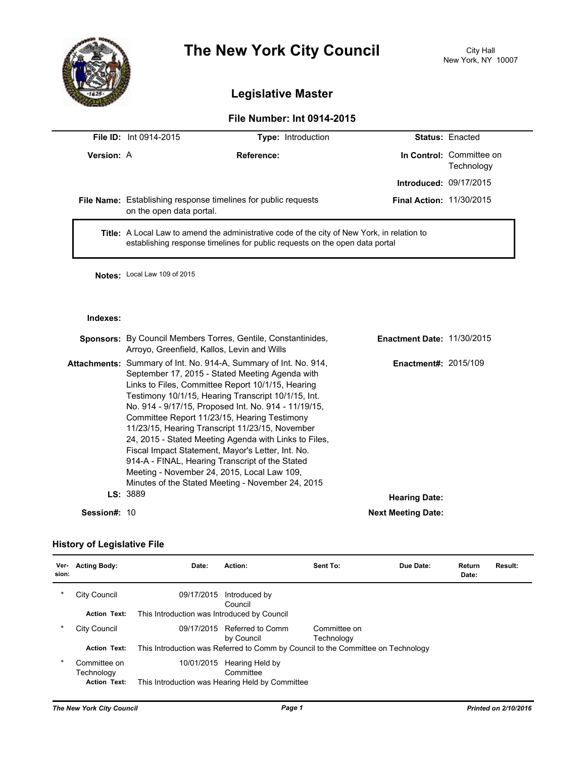

# **The New York City Council** City Hall

## **Legislative Master**

### **File Number: Int 0914-2015**

|                   | <b>File ID: Int 0914-2015</b>                                                                                                                                                                                                                                                                                                                                          | <b>Type: Introduction</b>                                            |                                   | Status: Enacted                        |
|-------------------|------------------------------------------------------------------------------------------------------------------------------------------------------------------------------------------------------------------------------------------------------------------------------------------------------------------------------------------------------------------------|----------------------------------------------------------------------|-----------------------------------|----------------------------------------|
| <b>Version: A</b> |                                                                                                                                                                                                                                                                                                                                                                        | Reference:                                                           |                                   | In Control: Committee on<br>Technology |
|                   |                                                                                                                                                                                                                                                                                                                                                                        |                                                                      | <b>Introduced: 09/17/2015</b>     |                                        |
|                   | File Name: Establishing response timelines for public requests<br>on the open data portal.                                                                                                                                                                                                                                                                             | <b>Final Action: 11/30/2015</b>                                      |                                   |                                        |
|                   | <b>Title:</b> A Local Law to amend the administrative code of the city of New York, in relation to<br>establishing response timelines for public requests on the open data portal                                                                                                                                                                                      |                                                                      |                                   |                                        |
|                   | Notes: Local Law 109 of 2015                                                                                                                                                                                                                                                                                                                                           |                                                                      |                                   |                                        |
| Indexes:          |                                                                                                                                                                                                                                                                                                                                                                        |                                                                      |                                   |                                        |
|                   | Arroyo, Greenfield, Kallos, Levin and Wills                                                                                                                                                                                                                                                                                                                            | <b>Sponsors:</b> By Council Members Torres, Gentile, Constantinides, | <b>Enactment Date: 11/30/2015</b> |                                        |
|                   | Attachments: Summary of Int. No. 914-A, Summary of Int. No. 914,<br><b>Enactment#: 2015/109</b><br>September 17, 2015 - Stated Meeting Agenda with<br>Links to Files, Committee Report 10/1/15, Hearing<br>Testimony 10/1/15, Hearing Transcript 10/1/15, Int.<br>No. 914 - 9/17/15, Proposed Int. No. 914 - 11/19/15,<br>Committee Report 11/23/15. Hearing Testimony |                                                                      |                                   |                                        |

| Session#: 10 |                                                        | <b>Next Meeting Date:</b> |
|--------------|--------------------------------------------------------|---------------------------|
|              | LS: 3889                                               | <b>Hearing Date:</b>      |
|              | Minutes of the Stated Meeting - November 24, 2015      |                           |
|              | Meeting - November 24, 2015, Local Law 109,            |                           |
|              | 914-A - FINAL, Hearing Transcript of the Stated        |                           |
|              | Fiscal Impact Statement, Mayor's Letter, Int. No.      |                           |
|              | 24, 2015 - Stated Meeting Agenda with Links to Files.  |                           |
|              | 11/23/15, Hearing Transcript 11/23/15, November        |                           |
|              | <b>OUTITITING INSPORT THEOFTO, FIGURING TOOMITIONS</b> |                           |

#### **History of Legislative File**

| Ver-<br>sion: | <b>Acting Body:</b>                               | Date:                                       | Action:                                                                          | Sent To:                   | Due Date: | Return<br>Date: | Result: |
|---------------|---------------------------------------------------|---------------------------------------------|----------------------------------------------------------------------------------|----------------------------|-----------|-----------------|---------|
| $\ast$        | City Council                                      | 09/17/2015                                  | Introduced by<br>Council                                                         |                            |           |                 |         |
|               | <b>Action Text:</b>                               | This Introduction was Introduced by Council |                                                                                  |                            |           |                 |         |
| $\ast$        | City Council                                      | 09/17/2015                                  | Referred to Comm<br>by Council                                                   | Committee on<br>Technology |           |                 |         |
|               | <b>Action Text:</b>                               |                                             | This Introduction was Referred to Comm by Council to the Committee on Technology |                            |           |                 |         |
| $\ast$        | Committee on<br>Technology<br><b>Action Text:</b> | 10/01/2015                                  | Hearing Held by<br>Committee<br>This Introduction was Hearing Held by Committee  |                            |           |                 |         |